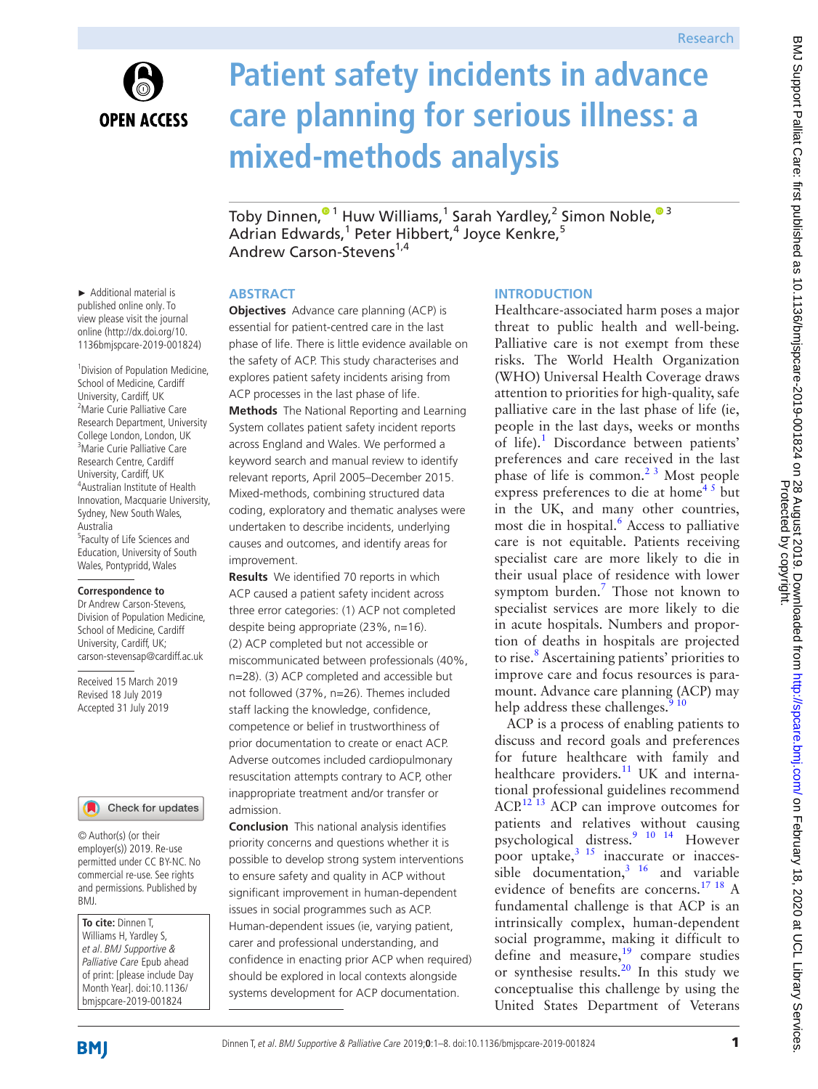

# **Patient safety incidents in advance care planning for serious illness: a mixed-methods analysis**

Toby Dinnen, $^{\circ}$  1 Huw Williams, $^1$  Sarah Yardley, $^2$  Simon Noble, $^{\circ}$  3 Adrian Edwards,<sup>1</sup> Peter Hibbert,<sup>4</sup> Joyce Kenkre,<sup>5</sup> Andrew Carson-Stevens<sup>1,4</sup>

## **ABSTRACT**

► Additional material is published online only. To view please visit the journal online [\(http://dx.doi.org/10.](http://dx.doi.org/10.1136bmjspcare-2019-001824) [1136bmjspcare-2019-001824](http://dx.doi.org/10.1136bmjspcare-2019-001824))

1 Division of Population Medicine, School of Medicine, Cardiff University, Cardiff, UK 2 Marie Curie Palliative Care Research Department, University College London, London, UK 3 Marie Curie Palliative Care Research Centre, Cardiff University, Cardiff, UK 4 Australian Institute of Health Innovation, Macquarie University, Sydney, New South Wales, Australia <sup>5</sup> Faculty of Life Sciences and Education, University of South Wales, Pontypridd, Wales

#### **Correspondence to**

Dr Andrew Carson-Stevens, Division of Population Medicine, School of Medicine, Cardiff University, Cardiff, UK; carson-stevensap@cardiff.ac.uk

Received 15 March 2019 Revised 18 July 2019 Accepted 31 July 2019

## Check for updates

© Author(s) (or their employer(s)) 2019. Re-use permitted under CC BY-NC. No commercial re-use. See rights and permissions. Published by BMJ.

**To cite:** Dinnen T, Williams H, Yardley S, et al. BMJ Supportive & Palliative Care Epub ahead of print: [please include Day Month Year]. doi:10.1136/ bmjspcare-2019-001824

**Objectives** Advance care planning (ACP) is essential for patient-centred care in the last phase of life. There is little evidence available on the safety of ACP. This study characterises and explores patient safety incidents arising from ACP processes in the last phase of life. **Methods** The National Reporting and Learning System collates patient safety incident reports across England and Wales. We performed a keyword search and manual review to identify relevant reports, April 2005–December 2015. Mixed-methods, combining structured data coding, exploratory and thematic analyses were undertaken to describe incidents, underlying causes and outcomes, and identify areas for improvement.

**Results** We identified 70 reports in which ACP caused a patient safety incident across three error categories: (1) ACP not completed despite being appropriate (23%, n=16). (2) ACP completed but not accessible or miscommunicated between professionals (40%, n=28). (3) ACP completed and accessible but not followed (37%, n=26). Themes included staff lacking the knowledge, confidence, competence or belief in trustworthiness of prior documentation to create or enact ACP. Adverse outcomes included cardiopulmonary resuscitation attempts contrary to ACP, other inappropriate treatment and/or transfer or admission.

**Conclusion** This national analysis identifies priority concerns and questions whether it is possible to develop strong system interventions to ensure safety and quality in ACP without significant improvement in human-dependent issues in social programmes such as ACP. Human-dependent issues (ie, varying patient, carer and professional understanding, and confidence in enacting prior ACP when required) should be explored in local contexts alongside systems development for ACP documentation.

# **INTRODUCTION**

Healthcare-associated harm poses a major threat to public health and well-being. Palliative care is not exempt from these risks. The World Health Organization (WHO) Universal Health Coverage draws attention to priorities for high-quality, safe palliative care in the last phase of life (ie, people in the last days, weeks or months of life).<sup>1</sup> Discordance between patients' preferences and care received in the last phase of life is common. $2<sup>3</sup>$  Most people express preferences to die at home<sup>45</sup> but in the UK, and many other countries, most die in hospital.<sup>[6](#page-6-3)</sup> Access to palliative care is not equitable. Patients receiving specialist care are more likely to die in their usual place of residence with lower symptom burden.<sup>[7](#page-6-4)</sup> Those not known to specialist services are more likely to die in acute hospitals. Numbers and proportion of deaths in hospitals are projected to rise.<sup>8</sup> Ascertaining patients' priorities to improve care and focus resources is paramount. Advance care planning (ACP) may help address these challenges. $\frac{5}{3}$ 

ACP is a process of enabling patients to discuss and record goals and preferences for future healthcare with family and healthcare providers.<sup>[11](#page-6-7)</sup> UK and international professional guidelines recommend  $ACP<sup>12 13</sup> ACP$  $ACP<sup>12 13</sup> ACP$  $ACP<sup>12 13</sup> ACP$  can improve outcomes for patients and relatives without causing psychological distress.<sup>9</sup> <sup>10</sup> <sup>14</sup> However poor uptake, $3^{3}$  15 inaccurate or inaccessible documentation, $3^{3}$ <sup>16</sup> and variable evidence of benefits are concerns.[17 18](#page-6-10) A fundamental challenge is that ACP is an intrinsically complex, human-dependent social programme, making it difficult to define and measure, $19$  compare studies or synthesise results. $20$  In this study we conceptualise this challenge by using the United States Department of Veterans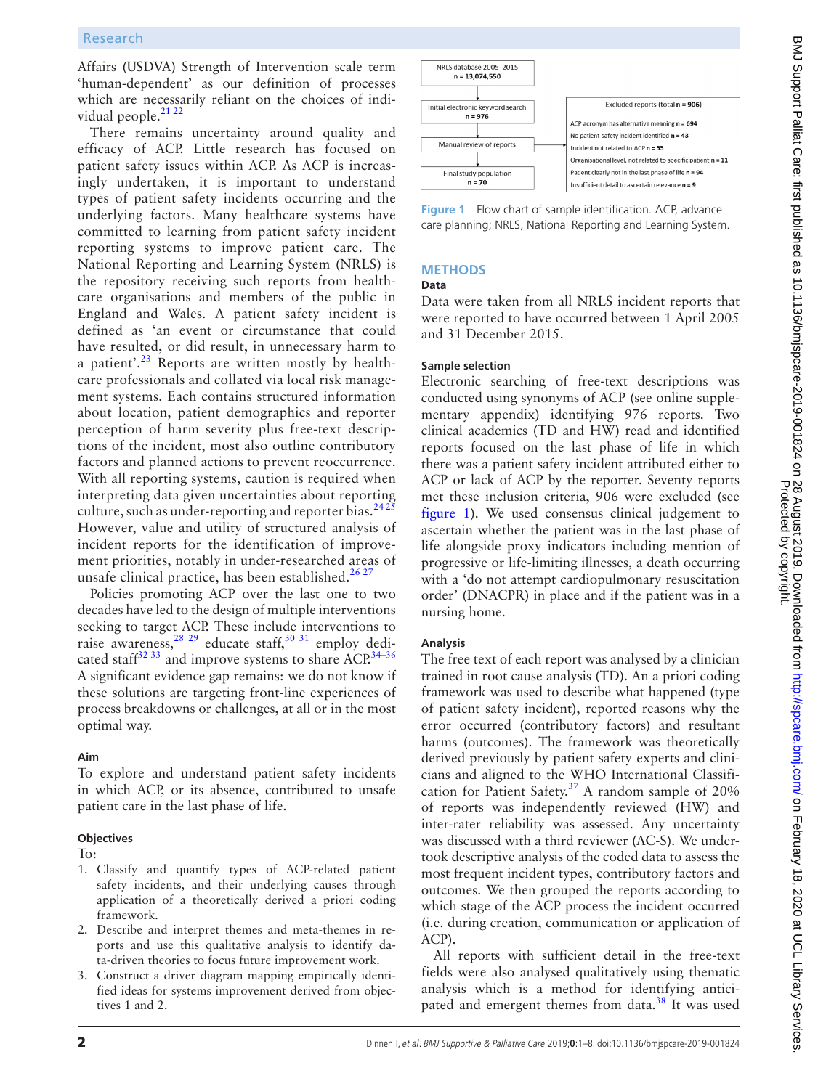Affairs (USDVA) Strength of Intervention scale term 'human-dependent' as our definition of processes which are necessarily reliant on the choices of indi-vidual people.<sup>[21 22](#page-6-13)</sup>

There remains uncertainty around quality and efficacy of ACP. Little research has focused on patient safety issues within ACP. As ACP is increasingly undertaken, it is important to understand types of patient safety incidents occurring and the underlying factors. Many healthcare systems have committed to learning from patient safety incident reporting systems to improve patient care. The National Reporting and Learning System (NRLS) is the repository receiving such reports from healthcare organisations and members of the public in England and Wales. A patient safety incident is defined as 'an event or circumstance that could have resulted, or did result, in unnecessary harm to a patient'. $^{23}$  $^{23}$  $^{23}$  Reports are written mostly by healthcare professionals and collated via local risk management systems. Each contains structured information about location, patient demographics and reporter perception of harm severity plus free-text descriptions of the incident, most also outline contributory factors and planned actions to prevent reoccurrence. With all reporting systems, caution is required when interpreting data given uncertainties about reporting culture, such as under-reporting and reporter bias. $2425$ However, value and utility of structured analysis of incident reports for the identification of improvement priorities, notably in under-researched areas of unsafe clinical practice, has been established. $26\frac{27}{27}$ 

Policies promoting ACP over the last one to two decades have led to the design of multiple interventions seeking to target ACP. These include interventions to raise awareness,<sup>28</sup> 29 educate staff,<sup>30 31</sup> employ dedicated staff<sup>32 33</sup> and improve systems to share ACP.<sup>34-36</sup> A significant evidence gap remains: we do not know if these solutions are targeting front-line experiences of process breakdowns or challenges, at all or in the most optimal way.

#### **Aim**

To explore and understand patient safety incidents in which ACP, or its absence, contributed to unsafe patient care in the last phase of life.

#### **Objectives**

To:

- 1. Classify and quantify types of ACP-related patient safety incidents, and their underlying causes through application of a theoretically derived a priori coding framework.
- 2. Describe and interpret themes and meta-themes in reports and use this qualitative analysis to identify data-driven theories to focus future improvement work.
- 3. Construct a driver diagram mapping empirically identified ideas for systems improvement derived from objectives 1 and 2.



<span id="page-1-0"></span>**Figure 1** Flow chart of sample identification. ACP, advance care planning; NRLS, National Reporting and Learning System.

## **Methods**

#### **Data**

Data were taken from all NRLS incident reports that were reported to have occurred between 1 April 2005 and 31 December 2015.

## **Sample selection**

Electronic searching of free-text descriptions was conducted using synonyms of ACP (see [online supple](https://dx.doi.org/10.1136/bmjspcare-2019-001824)[mentary appendix\)](https://dx.doi.org/10.1136/bmjspcare-2019-001824) identifying 976 reports. Two clinical academics (TD and HW) read and identified reports focused on the last phase of life in which there was a patient safety incident attributed either to ACP or lack of ACP by the reporter. Seventy reports met these inclusion criteria, 906 were excluded (see [figure](#page-1-0) 1). We used consensus clinical judgement to ascertain whether the patient was in the last phase of life alongside proxy indicators including mention of progressive or life-limiting illnesses, a death occurring with a 'do not attempt cardiopulmonary resuscitation order' (DNACPR) in place and if the patient was in a nursing home.

#### **Analysis**

The free text of each report was analysed by a clinician trained in root cause analysis (TD). An a priori coding framework was used to describe what happened (type of patient safety incident), reported reasons why the error occurred (contributory factors) and resultant harms (outcomes). The framework was theoretically derived previously by patient safety experts and clinicians and aligned to the WHO International Classification for Patient Safety.[37](#page-6-21) A random sample of 20% of reports was independently reviewed (HW) and inter-rater reliability was assessed. Any uncertainty was discussed with a third reviewer (AC-S). We undertook descriptive analysis of the coded data to assess the most frequent incident types, contributory factors and outcomes. We then grouped the reports according to which stage of the ACP process the incident occurred (i.e. during creation, communication or application of ACP).

All reports with sufficient detail in the free-text fields were also analysed qualitatively using thematic analysis which is a method for identifying antici-pated and emergent themes from data.<sup>[38](#page-6-22)</sup> It was used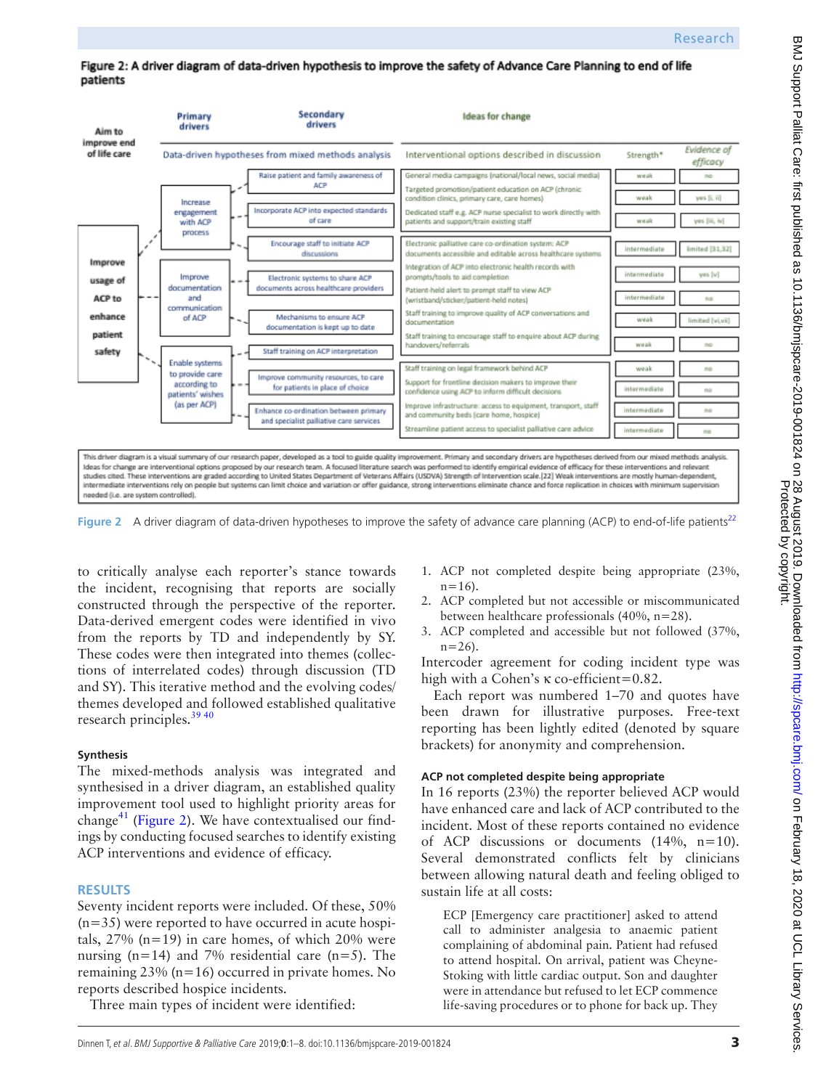



<span id="page-2-0"></span>Figure 2 A driver diagram of data-driven hypotheses to improve the safety of advance care planning (ACP) to end-of-life patients<sup>22</sup>

to critically analyse each reporter's stance towards the incident, recognising that reports are socially constructed through the perspective of the reporter. Data-derived emergent codes were identified in vivo from the reports by TD and independently by SY. These codes were then integrated into themes (collections of interrelated codes) through discussion (TD and SY). This iterative method and the evolving codes/ themes developed and followed established qualitative research principles.<sup>39 40</sup>

## **Synthesis**

The mixed-methods analysis was integrated and synthesised in a driver diagram, an established quality improvement tool used to highlight priority areas for change<sup>41</sup> [\(Figure](#page-2-0) 2). We have contextualised our findings by conducting focused searches to identify existing ACP interventions and evidence of efficacy.

# **Results**

Seventy incident reports were included. Of these, 50% (n=35) were reported to have occurred in acute hospitals,  $27\%$  (n=19) in care homes, of which 20% were nursing (n=14) and 7% residential care (n=5). The remaining  $23\%$  (n=16) occurred in private homes. No reports described hospice incidents.

1. ACP not completed despite being appropriate (23%,  $n = 16$ .

- 2. ACP completed but not accessible or miscommunicated between healthcare professionals (40%, n=28).
- 3. ACP completed and accessible but not followed (37%,  $n=26$ ).

Intercoder agreement for coding incident type was high with a Cohen's κ co-efficient=0.82.

Each report was numbered 1–70 and quotes have been drawn for illustrative purposes. Free-text reporting has been lightly edited (denoted by square brackets) for anonymity and comprehension.

# **ACP not completed despite being appropriate**

In 16 reports (23%) the reporter believed ACP would have enhanced care and lack of ACP contributed to the incident. Most of these reports contained no evidence of ACP discussions or documents (14%, n=10). Several demonstrated conflicts felt by clinicians between allowing natural death and feeling obliged to sustain life at all costs:

ECP [Emergency care practitioner] asked to attend call to administer analgesia to anaemic patient complaining of abdominal pain. Patient had refused to attend hospital. On arrival, patient was Cheyne-Stoking with little cardiac output. Son and daughter were in attendance but refused to let ECP commence life-saving procedures or to phone for back up. They

BMJ Support Palliat Care: first published as 10.1136/bmjspcare-2019-001824 on 28 August 2019. Downloaded from http://spcare.bmj.com/ on February 18, 2020 at UCL Library Services<br>Protected by copyright of the copyright of t BMJ Support Palliat Care: first published as 10.1136/bmjspcare-2019-001824 on 28 August 2019. Downloaded from <http://spcare.bmj.com/> Palmished as 10.1 Library Services. Protected by copyright.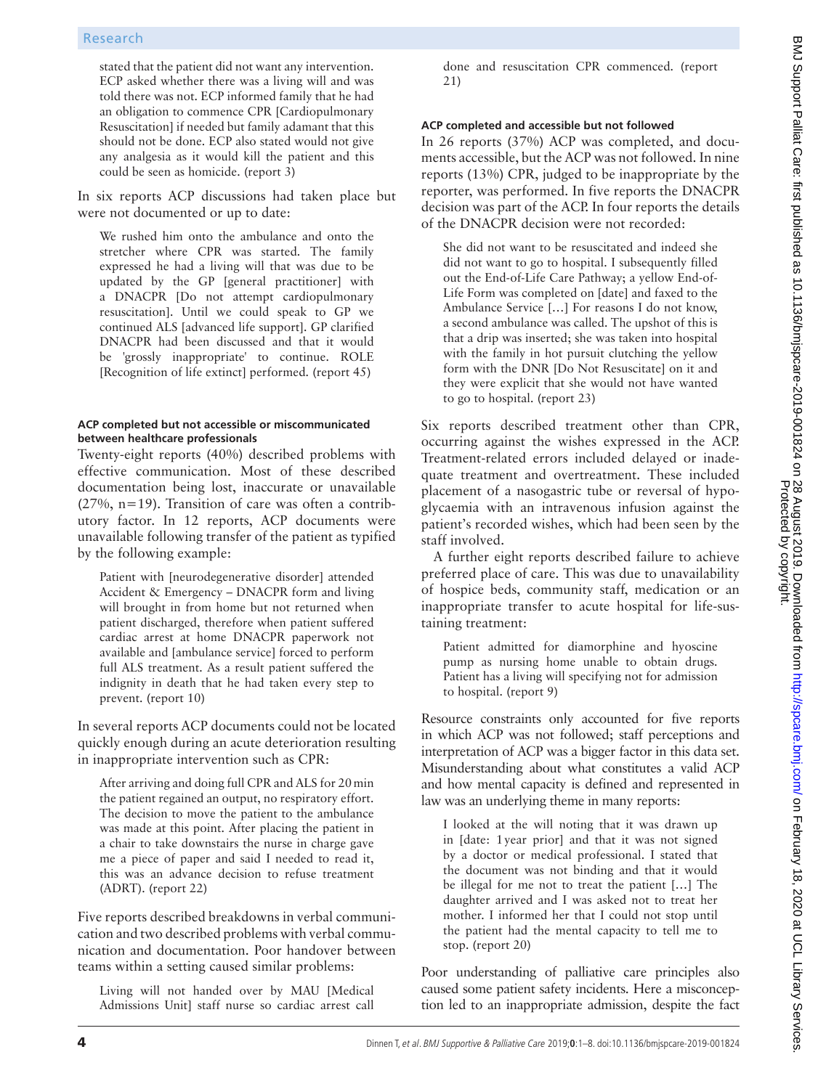stated that the patient did not want any intervention. ECP asked whether there was a living will and was told there was not. ECP informed family that he had an obligation to commence CPR [Cardiopulmonary Resuscitation] if needed but family adamant that this should not be done. ECP also stated would not give any analgesia as it would kill the patient and this could be seen as homicide. (report 3)

In six reports ACP discussions had taken place but were not documented or up to date:

We rushed him onto the ambulance and onto the stretcher where CPR was started. The family expressed he had a living will that was due to be updated by the GP [general practitioner] with a DNACPR [Do not attempt cardiopulmonary resuscitation]. Until we could speak to GP we continued ALS [advanced life support]. GP clarified DNACPR had been discussed and that it would be 'grossly inappropriate' to continue. ROLE [Recognition of life extinct] performed. (report 45)

## **ACP completed but not accessible or miscommunicated between healthcare professionals**

Twenty-eight reports (40%) described problems with effective communication. Most of these described documentation being lost, inaccurate or unavailable  $(27\%, n=19)$ . Transition of care was often a contributory factor. In 12 reports, ACP documents were unavailable following transfer of the patient as typified by the following example:

Patient with [neurodegenerative disorder] attended Accident & Emergency – DNACPR form and living will brought in from home but not returned when patient discharged, therefore when patient suffered cardiac arrest at home DNACPR paperwork not available and [ambulance service] forced to perform full ALS treatment. As a result patient suffered the indignity in death that he had taken every step to prevent. (report 10)

In several reports ACP documents could not be located quickly enough during an acute deterioration resulting in inappropriate intervention such as CPR:

After arriving and doing full CPR and ALS for 20min the patient regained an output, no respiratory effort. The decision to move the patient to the ambulance was made at this point. After placing the patient in a chair to take downstairs the nurse in charge gave me a piece of paper and said I needed to read it, this was an advance decision to refuse treatment (ADRT). (report 22)

Five reports described breakdowns in verbal communication and two described problems with verbal communication and documentation. Poor handover between teams within a setting caused similar problems:

Living will not handed over by MAU [Medical Admissions Unit] staff nurse so cardiac arrest call done and resuscitation CPR commenced. (report 21)

## **ACP completed and accessible but not followed**

In 26 reports (37%) ACP was completed, and documents accessible, but the ACP was not followed. In nine reports (13%) CPR, judged to be inappropriate by the reporter, was performed. In five reports the DNACPR decision was part of the ACP. In four reports the details of the DNACPR decision were not recorded:

She did not want to be resuscitated and indeed she did not want to go to hospital. I subsequently filled out the End-of-Life Care Pathway; a yellow End-of-Life Form was completed on [date] and faxed to the Ambulance Service […] For reasons I do not know, a second ambulance was called. The upshot of this is that a drip was inserted; she was taken into hospital with the family in hot pursuit clutching the yellow form with the DNR [Do Not Resuscitate] on it and they were explicit that she would not have wanted to go to hospital. (report 23)

Six reports described treatment other than CPR, occurring against the wishes expressed in the ACP. Treatment-related errors included delayed or inadequate treatment and overtreatment. These included placement of a nasogastric tube or reversal of hypoglycaemia with an intravenous infusion against the patient's recorded wishes, which had been seen by the staff involved.

A further eight reports described failure to achieve preferred place of care. This was due to unavailability of hospice beds, community staff, medication or an inappropriate transfer to acute hospital for life-sustaining treatment:

Patient admitted for diamorphine and hyoscine pump as nursing home unable to obtain drugs. Patient has a living will specifying not for admission to hospital. (report 9)

Resource constraints only accounted for five reports in which ACP was not followed; staff perceptions and interpretation of ACP was a bigger factor in this data set. Misunderstanding about what constitutes a valid ACP and how mental capacity is defined and represented in law was an underlying theme in many reports:

I looked at the will noting that it was drawn up in [date: 1year prior] and that it was not signed by a doctor or medical professional. I stated that the document was not binding and that it would be illegal for me not to treat the patient […] The daughter arrived and I was asked not to treat her mother. I informed her that I could not stop until the patient had the mental capacity to tell me to stop. (report 20)

Poor understanding of palliative care principles also caused some patient safety incidents. Here a misconception led to an inappropriate admission, despite the fact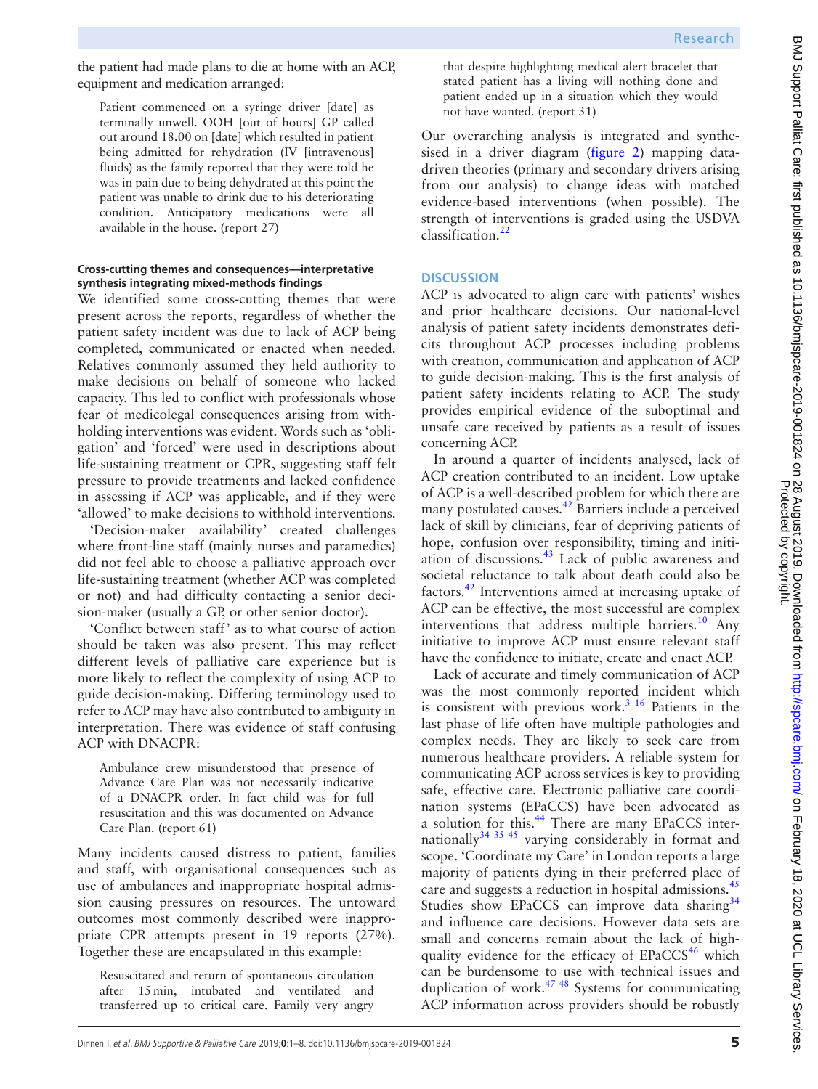the patient had made plans to die at home with an ACP, equipment and medication arranged:

Patient commenced on a syringe driver [date] as terminally unwell. OOH [out of hours] GP called out around 18.00 on [date] which resulted in patient being admitted for rehydration (IV [intravenous] fluids) as the family reported that they were told he was in pain due to being dehydrated at this point the patient was unable to drink due to his deteriorating condition. Anticipatory medications were all available in the house. (report 27)

## **Cross-cutting themes and consequences—interpretative synthesis integrating mixed-methods findings**

We identified some cross-cutting themes that were present across the reports, regardless of whether the patient safety incident was due to lack of ACP being completed, communicated or enacted when needed. Relatives commonly assumed they held authority to make decisions on behalf of someone who lacked capacity. This led to conflict with professionals whose fear of medicolegal consequences arising from withholding interventions was evident. Words such as 'obligation' and 'forced' were used in descriptions about life-sustaining treatment or CPR, suggesting staff felt pressure to provide treatments and lacked confidence in assessing if ACP was applicable, and if they were 'allowed' to make decisions to withhold interventions.

'Decision-maker availability' created challenges where front-line staff (mainly nurses and paramedics) did not feel able to choose a palliative approach over life-sustaining treatment (whether ACP was completed or not) and had difficulty contacting a senior decision-maker (usually a GP, or other senior doctor).

'Conflict between staff' as to what course of action should be taken was also present. This may reflect different levels of palliative care experience but is more likely to reflect the complexity of using ACP to guide decision-making. Differing terminology used to refer to ACP may have also contributed to ambiguity in interpretation. There was evidence of staff confusing ACP with DNACPR:

Ambulance crew misunderstood that presence of Advance Care Plan was not necessarily indicative of a DNACPR order. In fact child was for full resuscitation and this was documented on Advance Care Plan. (report 61)

Many incidents caused distress to patient, families and staff, with organisational consequences such as use of ambulances and inappropriate hospital admission causing pressures on resources. The untoward outcomes most commonly described were inappropriate CPR attempts present in 19 reports (27%). Together these are encapsulated in this example:

Resuscitated and return of spontaneous circulation after 15min, intubated and ventilated and transferred up to critical care. Family very angry that despite highlighting medical alert bracelet that stated patient has a living will nothing done and patient ended up in a situation which they would not have wanted. (report 31)

Our overarching analysis is integrated and synthesised in a driver diagram [\(figure](#page-2-0) 2) mapping datadriven theories (primary and secondary drivers arising from our analysis) to change ideas with matched evidence-based interventions (when possible). The strength of interventions is graded using the USDVA classification.<sup>22</sup>

# **Discussion**

ACP is advocated to align care with patients' wishes and prior healthcare decisions. Our national-level analysis of patient safety incidents demonstrates deficits throughout ACP processes including problems with creation, communication and application of ACP to guide decision-making. This is the first analysis of patient safety incidents relating to ACP. The study provides empirical evidence of the suboptimal and unsafe care received by patients as a result of issues concerning ACP.

In around a quarter of incidents analysed, lack of ACP creation contributed to an incident. Low uptake of ACP is a well-described problem for which there are many postulated causes.<sup>[42](#page-7-0)</sup> Barriers include a perceived lack of skill by clinicians, fear of depriving patients of hope, confusion over responsibility, timing and initiation of discussions.[43](#page-7-1) Lack of public awareness and societal reluctance to talk about death could also be factors.[42](#page-7-0) Interventions aimed at increasing uptake of ACP can be effective, the most successful are complex interventions that address multiple barriers.<sup>[10](#page-6-26)</sup> Any initiative to improve ACP must ensure relevant staff have the confidence to initiate, create and enact ACP.

Lack of accurate and timely communication of ACP was the most commonly reported incident which is consistent with previous work. $316$  Patients in the last phase of life often have multiple pathologies and complex needs. They are likely to seek care from numerous healthcare providers. A reliable system for communicating ACP across services is key to providing safe, effective care. Electronic palliative care coordination systems (EPaCCS) have been advocated as a solution for this.<sup>[44](#page-7-2)</sup> There are many EPaCCS internationally<sup>34 35 45</sup> varying considerably in format and scope. 'Coordinate my Care' in London reports a large majority of patients dying in their preferred place of care and suggests a reduction in hospital admissions.<sup>[45](#page-7-3)</sup> Studies show EPaCCS can improve data sharing<sup>34</sup> and influence care decisions. However data sets are small and concerns remain about the lack of highquality evidence for the efficacy of  $EPaCCS<sup>46</sup>$  which can be burdensome to use with technical issues and duplication of work. $4748$  Systems for communicating ACP information across providers should be robustly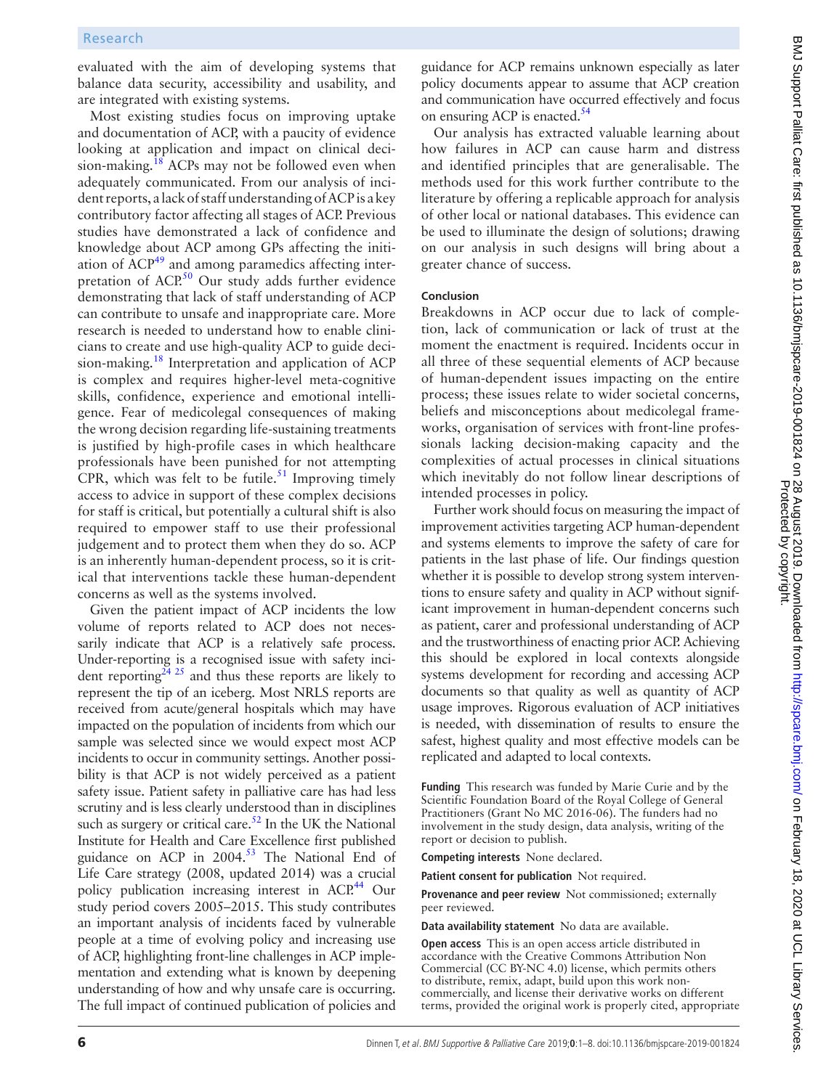evaluated with the aim of developing systems that balance data security, accessibility and usability, and are integrated with existing systems.

Most existing studies focus on improving uptake and documentation of ACP, with a paucity of evidence looking at application and impact on clinical deci-sion-making.<sup>[18](#page-6-27)</sup> ACPs may not be followed even when adequately communicated. From our analysis of incident reports, a lack of staff understanding of ACP is a key contributory factor affecting all stages of ACP. Previous studies have demonstrated a lack of confidence and knowledge about ACP among GPs affecting the initi-ation of ACP<sup>[49](#page-7-6)</sup> and among paramedics affecting interpretation of  $ACP<sup>50</sup>$  $ACP<sup>50</sup>$  $ACP<sup>50</sup>$  Our study adds further evidence demonstrating that lack of staff understanding of ACP can contribute to unsafe and inappropriate care. More research is needed to understand how to enable clinicians to create and use high-quality ACP to guide deci-sion-making.<sup>[18](#page-6-27)</sup> Interpretation and application of ACP is complex and requires higher-level meta-cognitive skills, confidence, experience and emotional intelligence. Fear of medicolegal consequences of making the wrong decision regarding life-sustaining treatments is justified by high-profile cases in which healthcare professionals have been punished for not attempting CPR, which was felt to be futile.<sup>[51](#page-7-8)</sup> Improving timely access to advice in support of these complex decisions for staff is critical, but potentially a cultural shift is also required to empower staff to use their professional judgement and to protect them when they do so. ACP is an inherently human-dependent process, so it is critical that interventions tackle these human-dependent concerns as well as the systems involved.

Given the patient impact of ACP incidents the low volume of reports related to ACP does not necessarily indicate that ACP is a relatively safe process. Under-reporting is a recognised issue with safety incident reporting $^{24}$   $^{25}$  and thus these reports are likely to represent the tip of an iceberg. Most NRLS reports are received from acute/general hospitals which may have impacted on the population of incidents from which our sample was selected since we would expect most ACP incidents to occur in community settings. Another possibility is that ACP is not widely perceived as a patient safety issue. Patient safety in palliative care has had less scrutiny and is less clearly understood than in disciplines such as surgery or critical care. $52$  In the UK the National Institute for Health and Care Excellence first published guidance on ACP in 2004.<sup>53</sup> The National End of Life Care strategy (2008, updated 2014) was a crucial policy publication increasing interest in ACP.<sup>44</sup> Our study period covers 2005–2015. This study contributes an important analysis of incidents faced by vulnerable people at a time of evolving policy and increasing use of ACP, highlighting front-line challenges in ACP implementation and extending what is known by deepening understanding of how and why unsafe care is occurring. The full impact of continued publication of policies and

guidance for ACP remains unknown especially as later policy documents appear to assume that ACP creation and communication have occurred effectively and focus on ensuring ACP is enacted.<sup>54</sup>

Our analysis has extracted valuable learning about how failures in ACP can cause harm and distress and identified principles that are generalisable. The methods used for this work further contribute to the literature by offering a replicable approach for analysis of other local or national databases. This evidence can be used to illuminate the design of solutions; drawing on our analysis in such designs will bring about a greater chance of success.

## **Conclusion**

Breakdowns in ACP occur due to lack of completion, lack of communication or lack of trust at the moment the enactment is required. Incidents occur in all three of these sequential elements of ACP because of human-dependent issues impacting on the entire process; these issues relate to wider societal concerns, beliefs and misconceptions about medicolegal frameworks, organisation of services with front-line professionals lacking decision-making capacity and the complexities of actual processes in clinical situations which inevitably do not follow linear descriptions of intended processes in policy.

Further work should focus on measuring the impact of improvement activities targeting ACP human-dependent and systems elements to improve the safety of care for patients in the last phase of life. Our findings question whether it is possible to develop strong system interventions to ensure safety and quality in ACP without significant improvement in human-dependent concerns such as patient, carer and professional understanding of ACP and the trustworthiness of enacting prior ACP. Achieving this should be explored in local contexts alongside systems development for recording and accessing ACP documents so that quality as well as quantity of ACP usage improves. Rigorous evaluation of ACP initiatives is needed, with dissemination of results to ensure the safest, highest quality and most effective models can be replicated and adapted to local contexts.

**Funding** This research was funded by Marie Curie and by the Scientific Foundation Board of the Royal College of General Practitioners (Grant No MC 2016-06). The funders had no involvement in the study design, data analysis, writing of the report or decision to publish.

**Competing interests** None declared.

**Patient consent for publication** Not required.

**Provenance and peer review** Not commissioned; externally peer reviewed.

**Data availability statement** No data are available.

**Open access** This is an open access article distributed in accordance with the Creative Commons Attribution Non Commercial (CC BY-NC 4.0) license, which permits others to distribute, remix, adapt, build upon this work noncommercially, and license their derivative works on different terms, provided the original work is properly cited, appropriate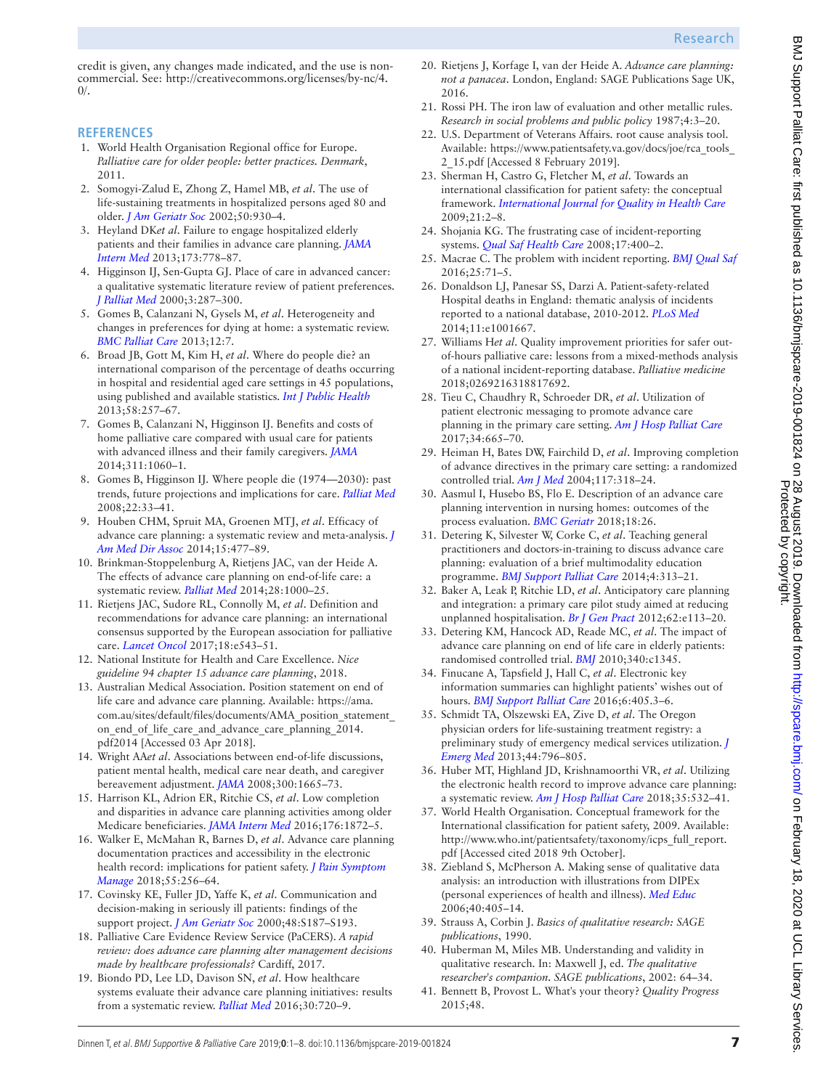credit is given, any changes made indicated, and the use is noncommercial. See: [http://creativecommons.org/licenses/by-nc/4.](http://creativecommons.org/licenses/by-nc/4.0/)  $0/$ .

#### **References**

- <span id="page-6-0"></span>1. World Health Organisation Regional office for Europe. *Palliative care for older people: better practices. Denmark*, 2011.
- <span id="page-6-1"></span>2. Somogyi-Zalud E, Zhong Z, Hamel MB, *et al*. The use of life-sustaining treatments in hospitalized persons aged 80 and older. *[J Am Geriatr Soc](http://dx.doi.org/10.1046/j.1532-5415.2002.50222.x)* 2002;50:930–4.
- <span id="page-6-9"></span>3. Heyland DK*et al*. Failure to engage hospitalized elderly patients and their families in advance care planning. *[JAMA](http://dx.doi.org/10.1001/jamainternmed.2013.180)  [Intern Med](http://dx.doi.org/10.1001/jamainternmed.2013.180)* 2013;173:778–87.
- <span id="page-6-2"></span>4. Higginson IJ, Sen-Gupta GJ. Place of care in advanced cancer: a qualitative systematic literature review of patient preferences. *[J Palliat Med](http://dx.doi.org/10.1089/jpm.2000.3.287)* 2000;3:287–300.
- 5. Gomes B, Calanzani N, Gysels M, *et al*. Heterogeneity and changes in preferences for dying at home: a systematic review. *[BMC Palliat Care](http://dx.doi.org/10.1186/1472-684X-12-7)* 2013;12:7.
- <span id="page-6-3"></span>6. Broad JB, Gott M, Kim H, *et al*. Where do people die? an international comparison of the percentage of deaths occurring in hospital and residential aged care settings in 45 populations, using published and available statistics. *[Int J Public Health](http://dx.doi.org/10.1007/s00038-012-0394-5)* 2013;58:257–67.
- <span id="page-6-4"></span>7. Gomes B, Calanzani N, Higginson IJ. Benefits and costs of home palliative care compared with usual care for patients with advanced illness and their family caregivers. *[JAMA](http://dx.doi.org/10.1001/jama.2014.553)* 2014;311:1060–1.
- <span id="page-6-5"></span>8. Gomes B, Higginson IJ. Where people die (1974—2030): past trends, future projections and implications for care. *[Palliat Med](http://dx.doi.org/10.1177/0269216307084606)* 2008;22:33–41.
- <span id="page-6-6"></span>9. Houben CHM, Spruit MA, Groenen MTJ, *et al*. Efficacy of advance care planning: a systematic review and meta-analysis. *[J](http://dx.doi.org/10.1016/j.jamda.2014.01.008)  [Am Med Dir Assoc](http://dx.doi.org/10.1016/j.jamda.2014.01.008)* 2014;15:477–89.
- <span id="page-6-26"></span>10. Brinkman-Stoppelenburg A, Rietjens JAC, van der Heide A. The effects of advance care planning on end-of-life care: a systematic review. *[Palliat Med](http://dx.doi.org/10.1177/0269216314526272)* 2014;28:1000–25.
- <span id="page-6-7"></span>11. Rietjens JAC, Sudore RL, Connolly M, *et al*. Definition and recommendations for advance care planning: an international consensus supported by the European association for palliative care. *[Lancet Oncol](http://dx.doi.org/10.1016/S1470-2045(17)30582-X)* 2017;18:e543–51.
- <span id="page-6-8"></span>12. National Institute for Health and Care Excellence. *Nice guideline 94 chapter 15 advance care planning*, 2018.
- 13. Australian Medical Association. Position statement on end of life care and advance care planning. Available: [https://ama.](https://ama.com.au/sites/default/files/documents/AMA_position_statement_on_end_of_life_care_and_advance_care_planning_2014.pdf2014) [com.au/sites/default/files/documents/AMA\\_position\\_statement\\_](https://ama.com.au/sites/default/files/documents/AMA_position_statement_on_end_of_life_care_and_advance_care_planning_2014.pdf2014) on end of life care and advance care planning 2014. [pdf2014](https://ama.com.au/sites/default/files/documents/AMA_position_statement_on_end_of_life_care_and_advance_care_planning_2014.pdf2014) [Accessed 03 Apr 2018].
- 14. Wright AA*et al*. Associations between end-of-life discussions, patient mental health, medical care near death, and caregiver bereavement adjustment. *[JAMA](http://dx.doi.org/10.1001/jama.300.14.1665)* 2008;300:1665–73.
- 15. Harrison KL, Adrion ER, Ritchie CS, *et al*. Low completion and disparities in advance care planning activities among older Medicare beneficiaries. *[JAMA Intern Med](http://dx.doi.org/10.1001/jamainternmed.2016.6751)* 2016;176:1872–5.
- 16. Walker E, McMahan R, Barnes D, *et al*. Advance care planning documentation practices and accessibility in the electronic health record: implications for patient safety. *[J Pain Symptom](http://dx.doi.org/10.1016/j.jpainsymman.2017.09.018)  [Manage](http://dx.doi.org/10.1016/j.jpainsymman.2017.09.018)* 2018;55:256–64.
- <span id="page-6-10"></span>17. Covinsky KE, Fuller JD, Yaffe K, *et al*. Communication and decision-making in seriously ill patients: findings of the support project. *[J Am Geriatr Soc](http://dx.doi.org/10.1111/j.1532-5415.2000.tb03131.x)* 2000;48:S187–S193.
- <span id="page-6-27"></span>18. Palliative Care Evidence Review Service (PaCERS). *A rapid review: does advance care planning alter management decisions made by healthcare professionals?* Cardiff, 2017.
- <span id="page-6-11"></span>19. Biondo PD, Lee LD, Davison SN, *et al*. How healthcare systems evaluate their advance care planning initiatives: results from a systematic review. *[Palliat Med](http://dx.doi.org/10.1177/0269216316630883)* 2016;30:720–9.

<span id="page-6-12"></span>20. Rietjens J, Korfage I, van der Heide A. *Advance care planning: not a panacea*. London, England: SAGE Publications Sage UK, 2016.

Research

- <span id="page-6-13"></span>21. Rossi PH. The iron law of evaluation and other metallic rules. *Research in social problems and public policy* 1987;4:3–20.
- <span id="page-6-23"></span>22. U.S. Department of Veterans Affairs. root cause analysis tool. Available: [https://www.patientsafety.va.gov/docs/joe/rca\\_tools\\_](https://www.patientsafety.va.gov/docs/joe/rca_tools_2_15.pdf) [2\\_15.pdf](https://www.patientsafety.va.gov/docs/joe/rca_tools_2_15.pdf) [Accessed 8 February 2019].
- <span id="page-6-14"></span>23. Sherman H, Castro G, Fletcher M, *et al*. Towards an international classification for patient safety: the conceptual framework. *[International Journal for Quality in Health Care](http://dx.doi.org/10.1093/intqhc/mzn054)* 2009;21:2–8.
- <span id="page-6-15"></span>24. Shojania KG. The frustrating case of incident-reporting systems. *[Qual Saf Health Care](http://dx.doi.org/10.1136/qshc.2008.029496)* 2008;17:400–2.
- 25. Macrae C. The problem with incident reporting. *[BMJ Qual Saf](http://dx.doi.org/10.1136/bmjqs-2015-004732)* 2016;25:71–5.
- <span id="page-6-16"></span>26. Donaldson LJ, Panesar SS, Darzi A. Patient-safety-related Hospital deaths in England: thematic analysis of incidents reported to a national database, 2010-2012. *[PLoS Med](http://dx.doi.org/10.1371/journal.pmed.1001667)* 2014;11:e1001667.
- 27. Williams H*et al*. Quality improvement priorities for safer outof-hours palliative care: lessons from a mixed-methods analysis of a national incident-reporting database. *Palliative medicine* 2018;0269216318817692.
- <span id="page-6-17"></span>28. Tieu C, Chaudhry R, Schroeder DR, *et al*. Utilization of patient electronic messaging to promote advance care planning in the primary care setting. *[Am J Hosp Palliat Care](http://dx.doi.org/10.1177/1049909116650237)* 2017;34:665–70.
- 29. Heiman H, Bates DW, Fairchild D, *et al*. Improving completion of advance directives in the primary care setting: a randomized controlled trial. *[Am J Med](http://dx.doi.org/10.1016/j.amjmed.2004.03.027)* 2004;117:318–24.
- <span id="page-6-18"></span>30. Aasmul I, Husebo BS, Flo E. Description of an advance care planning intervention in nursing homes: outcomes of the process evaluation. *[BMC Geriatr](http://dx.doi.org/10.1186/s12877-018-0713-7)* 2018;18:26.
- 31. Detering K, Silvester W, Corke C, *et al*. Teaching general practitioners and doctors-in-training to discuss advance care planning: evaluation of a brief multimodality education programme. *[BMJ Support Palliat Care](http://dx.doi.org/10.1136/bmjspcare-2013-000450)* 2014;4:313–21.
- <span id="page-6-19"></span>32. Baker A, Leak P, Ritchie LD, *et al*. Anticipatory care planning and integration: a primary care pilot study aimed at reducing unplanned hospitalisation. *[Br J Gen Pract](http://dx.doi.org/10.3399/bjgp12X625175)* 2012;62:e113–20.
- 33. Detering KM, Hancock AD, Reade MC, *et al*. The impact of advance care planning on end of life care in elderly patients: randomised controlled trial. *[BMJ](http://dx.doi.org/10.1136/bmj.c1345)* 2010;340:c1345.
- <span id="page-6-20"></span>34. Finucane A, Tapsfield J, Hall C, *et al*. Electronic key information summaries can highlight patients' wishes out of hours. *[BMJ Support Palliat Care](http://dx.doi.org/10.1136/bmjspcare-2016-001204.56)* 2016;6:405.3–6.
- 35. Schmidt TA, Olszewski EA, Zive D, *et al*. The Oregon physician orders for life-sustaining treatment registry: a preliminary study of emergency medical services utilization. *[J](http://dx.doi.org/10.1016/j.jemermed.2012.07.081)  [Emerg Med](http://dx.doi.org/10.1016/j.jemermed.2012.07.081)* 2013;44:796–805.
- 36. Huber MT, Highland JD, Krishnamoorthi VR, *et al*. Utilizing the electronic health record to improve advance care planning: a systematic review. *[Am J Hosp Palliat Care](http://dx.doi.org/10.1177/1049909117715217)* 2018;35:532–41.
- <span id="page-6-21"></span>37. World Health Organisation. Conceptual framework for the International classification for patient safety, 2009. Available: [http://www.who.int/patientsafety/taxonomy/icps\\_full\\_report.](http://www.who.int/patientsafety/taxonomy/icps_full_report.pdf) [pdf](http://www.who.int/patientsafety/taxonomy/icps_full_report.pdf) [Accessed cited 2018 9th October].
- <span id="page-6-22"></span>38. Ziebland S, McPherson A. Making sense of qualitative data analysis: an introduction with illustrations from DIPEx (personal experiences of health and illness). *[Med Educ](http://dx.doi.org/10.1111/j.1365-2929.2006.02467.x)* 2006;40:405–14.
- <span id="page-6-24"></span>39. Strauss A, Corbin J. *Basics of qualitative research: SAGE publications*, 1990.
- 40. Huberman M, Miles MB. Understanding and validity in qualitative research. In: Maxwell J, ed. *The qualitative researcher's companion. SAGE publications*, 2002: 64–34.
- <span id="page-6-25"></span>41. Bennett B, Provost L. What's your theory? *Quality Progress* 2015;48.